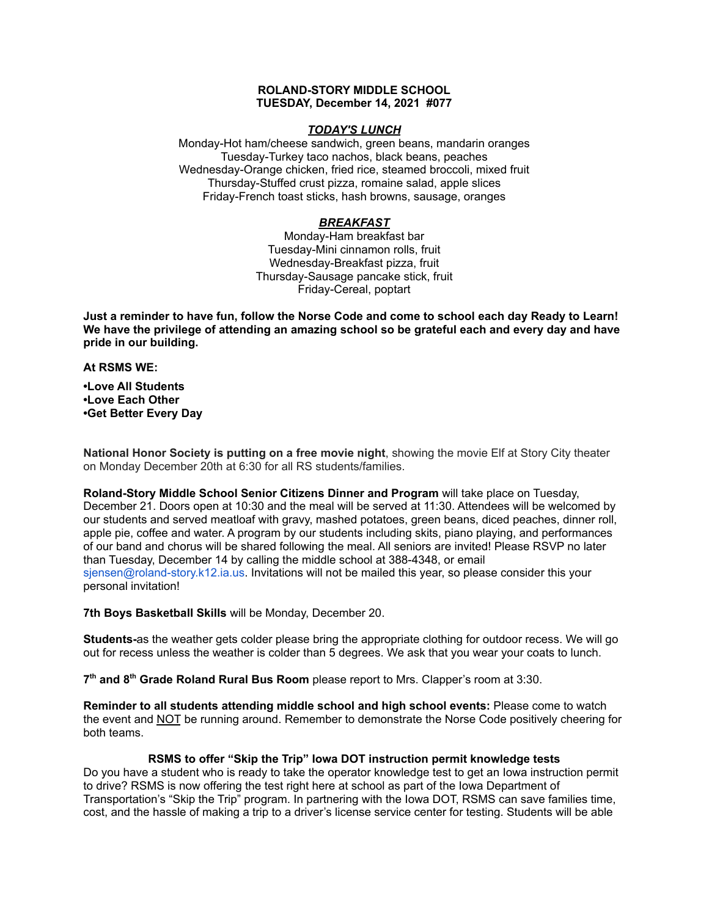## **ROLAND-STORY MIDDLE SCHOOL TUESDAY, December 14, 2021 #077**

### *TODAY'S LUNCH*

Monday-Hot ham/cheese sandwich, green beans, mandarin oranges Tuesday-Turkey taco nachos, black beans, peaches Wednesday-Orange chicken, fried rice, steamed broccoli, mixed fruit Thursday-Stuffed crust pizza, romaine salad, apple slices Friday-French toast sticks, hash browns, sausage, oranges

## *BREAKFAST*

Monday-Ham breakfast bar Tuesday-Mini cinnamon rolls, fruit Wednesday-Breakfast pizza, fruit Thursday-Sausage pancake stick, fruit Friday-Cereal, poptart

Just a reminder to have fun, follow the Norse Code and come to school each day Ready to Learn! **We have the privilege of attending an amazing school so be grateful each and every day and have pride in our building.**

**At RSMS WE:**

**•Love All Students •Love Each Other •Get Better Every Day**

**National Honor Society is putting on a free movie night**, showing the movie Elf at Story City theater on Monday December 20th at 6:30 for all RS students/families.

**Roland-Story Middle School Senior Citizens Dinner and Program** will take place on Tuesday, December 21. Doors open at 10:30 and the meal will be served at 11:30. Attendees will be welcomed by our students and served meatloaf with gravy, mashed potatoes, green beans, diced peaches, dinner roll, apple pie, coffee and water. A program by our students including skits, piano playing, and performances of our band and chorus will be shared following the meal. All seniors are invited! Please RSVP no later than Tuesday, December 14 by calling the middle school at 388-4348, or email sjensen@roland-story.k12.ia.us. Invitations will not be mailed this year, so please consider this your personal invitation!

**7th Boys Basketball Skills** will be Monday, December 20.

**Students-**as the weather gets colder please bring the appropriate clothing for outdoor recess. We will go out for recess unless the weather is colder than 5 degrees. We ask that you wear your coats to lunch.

**7 th and 8 th Grade Roland Rural Bus Room** please report to Mrs. Clapper's room at 3:30.

**Reminder to all students attending middle school and high school events:** Please come to watch the event and NOT be running around. Remember to demonstrate the Norse Code positively cheering for both teams.

# **RSMS to offer "Skip the Trip" Iowa DOT instruction permit knowledge tests**

Do you have a student who is ready to take the operator knowledge test to get an Iowa instruction permit to drive? RSMS is now offering the test right here at school as part of the Iowa Department of Transportation's "Skip the Trip" program. In partnering with the Iowa DOT, RSMS can save families time, cost, and the hassle of making a trip to a driver's license service center for testing. Students will be able